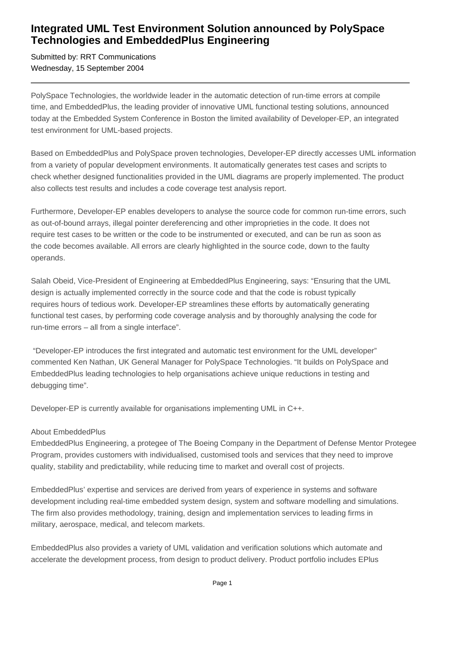## **Integrated UML Test Environment Solution announced by PolySpace Technologies and EmbeddedPlus Engineering**

Submitted by: RRT Communications Wednesday, 15 September 2004

PolySpace Technologies, the worldwide leader in the automatic detection of run-time errors at compile time, and EmbeddedPlus, the leading provider of innovative UML functional testing solutions, announced today at the Embedded System Conference in Boston the limited availability of Developer-EP, an integrated test environment for UML-based projects.

Based on EmbeddedPlus and PolySpace proven technologies, Developer-EP directly accesses UML information from a variety of popular development environments. It automatically generates test cases and scripts to check whether designed functionalities provided in the UML diagrams are properly implemented. The product also collects test results and includes a code coverage test analysis report.

Furthermore, Developer-EP enables developers to analyse the source code for common run-time errors, such as out-of-bound arrays, illegal pointer dereferencing and other improprieties in the code. It does not require test cases to be written or the code to be instrumented or executed, and can be run as soon as the code becomes available. All errors are clearly highlighted in the source code, down to the faulty operands.

Salah Obeid, Vice-President of Engineering at EmbeddedPlus Engineering, says: "Ensuring that the UML design is actually implemented correctly in the source code and that the code is robust typically requires hours of tedious work. Developer-EP streamlines these efforts by automatically generating functional test cases, by performing code coverage analysis and by thoroughly analysing the code for run-time errors – all from a single interface".

 "Developer-EP introduces the first integrated and automatic test environment for the UML developer" commented Ken Nathan, UK General Manager for PolySpace Technologies. "It builds on PolySpace and EmbeddedPlus leading technologies to help organisations achieve unique reductions in testing and debugging time".

Developer-EP is currently available for organisations implementing UML in C++.

## About EmbeddedPlus

EmbeddedPlus Engineering, a protegee of The Boeing Company in the Department of Defense Mentor Protegee Program, provides customers with individualised, customised tools and services that they need to improve quality, stability and predictability, while reducing time to market and overall cost of projects.

EmbeddedPlus' expertise and services are derived from years of experience in systems and software development including real-time embedded system design, system and software modelling and simulations. The firm also provides methodology, training, design and implementation services to leading firms in military, aerospace, medical, and telecom markets.

EmbeddedPlus also provides a variety of UML validation and verification solutions which automate and accelerate the development process, from design to product delivery. Product portfolio includes EPlus